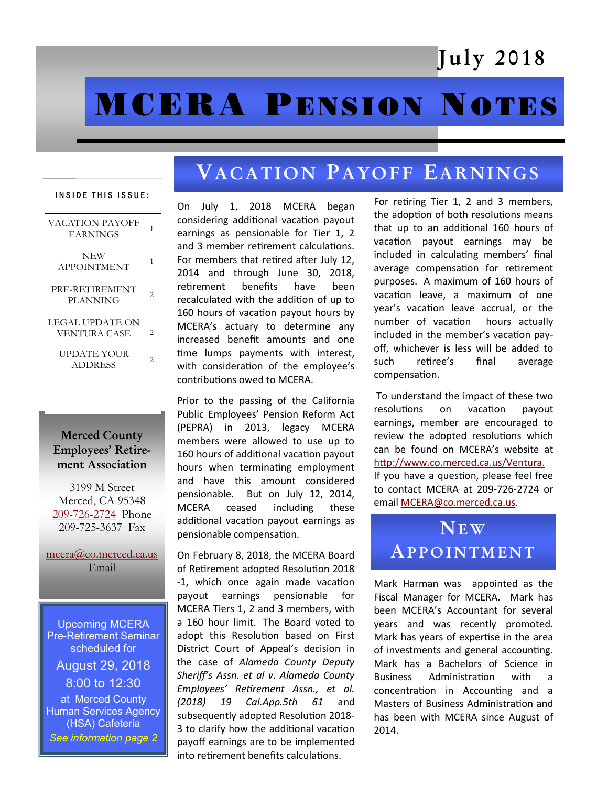## July 2018

# **MCERA PENSION NOTES**

## VACATION PAYOFF EARNINGS

#### INSIDE THIS ISSUE:

| VACATION PAYOFF<br><b>EARNINGS</b> | 1 |
|------------------------------------|---|
| NEW<br><b>APPOINTMENT</b>          | 1 |
| PRE-RETIREMENT<br>PLANNING         | 2 |
| LEGAL UPDATE ON<br>VENTURA CASE    | 2 |
| UPDATE YOUR<br>ADDRESS             | 2 |
|                                    |   |

### Merced County Employees' Retirement Association

3199 M Street Merced, CA 95348 [209-726-2724](tel:+12097262724) Phone 209-725-3637 Fax

[mcera@co.merced.ca.us](mailto:mcera@co.merced.ca.us) Email

Upcoming MCERA Pre-Retirement Seminar scheduled for August 29, 2018 8:00 to 12:30 at Merced County Human Services Agency (HSA) Cafeteria *See information page 2* 

On July 1, 2018 MCERA began considering additional vacation payout earnings as pensionable for Tier 1, 2 and 3 member retirement calculations. For members that retired after July 12, 2014 and through June 30, 2018, retirement benefits have been recalculated with the addition of up to 160 hours of vacation payout hours by MCERA's actuary to determine any increased benefit amounts and one time lumps payments with interest, with consideration of the employee's contributions owed to MCERA.

Prior to the passing of the California Public Employees' Pension Reform Act (PEPRA) in 2013, legacy MCERA members were allowed to use up to 160 hours of additional vacation payout hours when terminating employment and have this amount considered pensionable. But on July 12, 2014, MCERA ceased including these additional vacation payout earnings as pensionable compensation.

On February 8, 2018, the MCERA Board of Retirement adopted Resolution 2018 -1, which once again made vacation payout earnings pensionable for MCERA Tiers 1, 2 and 3 members, with a 160 hour limit. The Board voted to adopt this Resolution based on First District Court of Appeal's decision in the case of *Alameda County Deputy Sheriff's Assn. et al v. Alameda County Employees' Retirement Assn., et al. (2018) 19 Cal.App.5th 61* and subsequently adopted Resolution 2018- 3 to clarify how the additional vacation payoff earnings are to be implemented into retirement benefits calculations.

For retiring Tier 1, 2 and 3 members, the adoption of both resolutions means that up to an additional 160 hours of vacation payout earnings may be included in calculating members' final average compensation for retirement purposes. A maximum of 160 hours of vacation leave, a maximum of one year's vacation leave accrual, or the number of vacation hours actually included in the member's vacation payoff, whichever is less will be added to such retiree's final average compensation.

To understand the impact of these two resolutions on vacation payout earnings, member are encouraged to review the adopted resolutions which can be found on MCERA's website at [http://www.co.merced.ca.us/Ventura.](http://www.co.merced.ca.us/Ventura) If you have a question, please feel free to contact MCERA at 209-726-2724 or email [MCERA@co.merced.ca.us.](mailto:MCERA@co.merced.ca.us)

## **NEW APPOINTMENT**

Mark Harman was appointed as the Fiscal Manager for MCERA. Mark has been MCERA's Accountant for several years and was recently promoted. Mark has years of expertise in the area of investments and general accounting. Mark has a Bachelors of Science in Business Administration with a concentration in Accounting and a Masters of Business Administration and has been with MCERA since August of 2014.